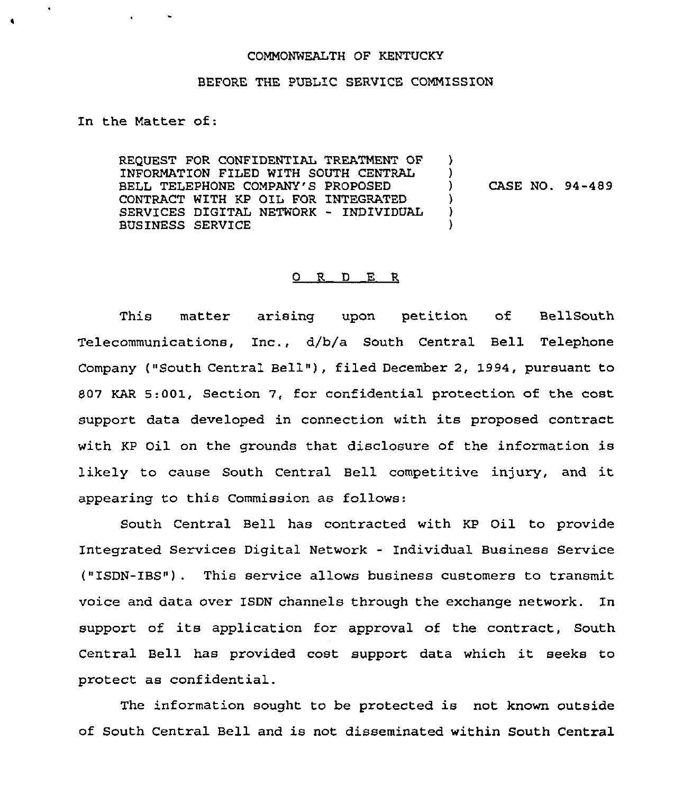## COMMONWEALTH OF KENTUCKY

## BEFORE THE PUBLIC SERVICE COMMISSION

In the Matter of:

 $\ddot{\phantom{a}}$ 

REQUEST FOR CONFIDENTIAL TREATMENT OF INFORMATION FILED WITH SOUTH CENTRAL BELL TELEPHONE COMPANY'S PROPOSED CONTRACT WITH KP OIL FOR INTEGRATED SERVICES DIGITAL NETWORK — INDIVIDUAL BUSINESS SERVICE  $\lambda$  $\frac{1}{1}$ ) CASE NO. 94-489 ) ) )

## Q R D E R

This matter arising upon petition of BellSouth Telecommunications, Inc., d/b/a South Central Bell Telephone Company ("South Central Bell"), filed December 2, 1994, pursuant to 807 KAR 5:001, Section 7, for confidential protection of the cost support data developed in connection with its proposed contract with KP Oil on the grounds that disclosure of the information is likely to cause South Central Bell competitive injury, and it appearing to this Commission as follows:

South Central Bell has contracted with KP Qil to provide Integrated Services Digital Network - Individual Business Service ("ISDN-IBS") . This service allows business customers to transmit voice and data over ISDN channels through the exchange network. In support of its application for approval of the contract, South Central Bell has provided cost support. data which it seeks to protect as confidential.

The information sought to be protected is not known outside of South Central Bell and is not disseminated within South Central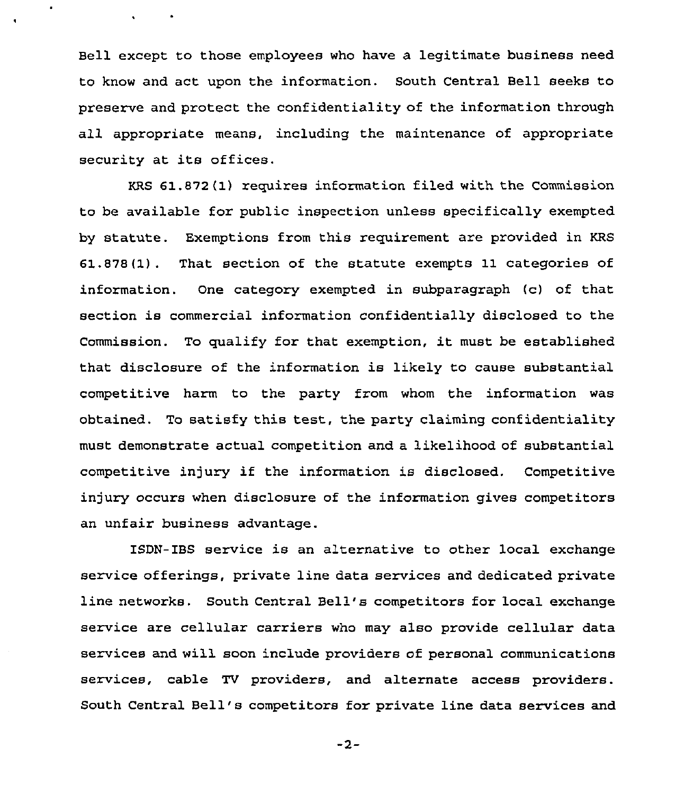Bell except to those employees who have a legitimate business need to know and act upon the information. South Central Bell seeks to preserve and protect the confidentiality of the information through all appropriate means, including the maintenance of appropriate security at its offices.

 $\bullet$ 

 $\mathbf{r}$ 

KRS 61.872(1) requires information filed with the Commission to be available for public inspection unless specifically exempted by statute. Exemptions from this requirement are provided in KRS 61.878(1). That section of the statute exempts 11 categories of information. One category exempted in subparagraph (c) of that section is commercial information confidentially disclosed to the Commission. To qualify for that exemption, it must be established that disclosure of the information is likely to cause substantial competitive harm to the party from whom the information was obtained. To satisfy this test, the party claiming confidentiality must demonstrate actual competition and a likelihood of substantial competitive injury if the information is disclosed. Competitive injury occurs when disclosure of the information gives competitors an unfair business advantage.

ISDN-IBS service is an alternative to other local exchange service offerings, private line data services and dedicated private line networks. South Central Bell's competitors for local exchange service are cellular carriers who may also provide cellular data services and will soon include providers of personal communications services, cable TV providers, and alternate access providers. South Central Bell's competitors for private line data services and

 $-2-$